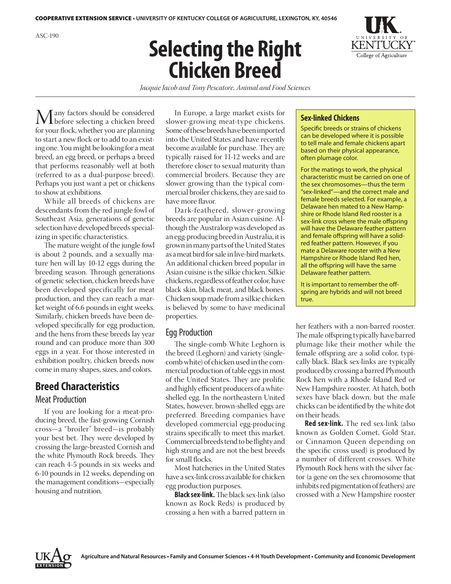# **Selecting the Right Chicken Breed**



*Jacquie Jacob and Tony Pescatore, Animal and Food Sciences*

Many factors should be considered before selecting a chicken breed for your flock, whether you are planning to start a new flock or to add to an existing one. You might be looking for a meat breed, an egg breed, or perhaps a breed that performs reasonably well at both (referred to as a dual-purpose breed). Perhaps you just want a pet or chickens to show at exhibitions.

While all breeds of chickens are descendants from the red jungle fowl of Southeast Asia, generations of genetic selection have developed breeds specializing in specific characteristics.

The mature weight of the jungle fowl is about 2 pounds, and a sexually mature hen will lay 10-12 eggs during the breeding season. Through generations of genetic selection, chicken breeds have been developed specifically for meat production, and they can reach a market weight of 6.6 pounds in eight weeks. Similarly, chicken breeds have been developed specifically for egg production, and the hens from these breeds lay year round and can produce more than 300 eggs in a year. For those interested in exhibition poultry, chicken breeds now come in many shapes, sizes, and colors.

# **Breed Characteristics**

#### Meat Production

If you are looking for a meat-producing breed, the fast-growing Cornish cross—a "broiler" breed—is probably your best bet. They were developed by crossing the large-breasted Cornish and the white Plymouth Rock breeds. They can reach 4-5 pounds in six weeks and 6-10 pounds in 12 weeks, depending on the management conditions—especially housing and nutrition.

In Europe, a large market exists for slower-growing meat-type chickens. Some of these breeds have been imported into the United States and have recently become available for purchase. They are typically raised for 11-12 weeks and are therefore closer to sexual maturity than commercial broilers. Because they are slower growing than the typical commercial broiler chickens, they are said to have more flavor.

Dark-feathered, slower-growing breeds are popular in Asian cuisine. Although the Australorp was developed as an egg-producing breed in Australia, it is grown in many parts of the United States as a meat bird for sale in live-bird markets. An additional chicken breed popular in Asian cuisine is the silkie chicken. Silkie chickens, regardless of feather color, have black skin, black meat, and black bones. Chicken soup made from a silkie chicken is believed by some to have medicinal properties.

## Egg Production

The single-comb White Leghorn is the breed (Leghorn) and variety (singlecomb white) of chicken used in the commercial production of table eggs in most of the United States. They are prolific and highly efficient producers of a whiteshelled egg. In the northeastern United States, however, brown-shelled eggs are preferred. Breeding companies have developed commercial egg-producing strains specifically to meet this market. Commercial breeds tend to be flighty and high strung and are not the best breeds for small flocks.

Most hatcheries in the United States have a sex-link cross available for chicken egg production purposes.

**Black sex-link.** The black sex-link (also known as Rock Reds) is produced by crossing a hen with a barred pattern in

#### **Sex-linked Chickens**

Specific breeds or strains of chickens can be developed where it is possible to tell male and female chickens apart based on their physical appearance, often plumage color.

For the matings to work, the physical characteristic must be carried on one of the sex chromosomes—thus the term "sex-linked"—and the correct male and female breeds selected. For example, a Delaware hen mated to a New Hampshire or Rhode Island Red rooster is a sex-link cross where the male offspring will have the Delaware feather pattern and female offspring will have a solidred feather pattern. However, if you mate a Delaware rooster with a New Hampshire or Rhode Island Red hen, all the offspring will have the same Delaware feather pattern.

It is important to remember the offspring are hybrids and will not breed true.

her feathers with a non-barred rooster. The male offspring typically have barred plumage like their mother while the female offspring are a solid color, typically black. Black sex-links are typically produced by crossing a barred Plymouth Rock hen with a Rhode Island Red or New Hampshire rooster. At hatch, both sexes have black down, but the male chicks can be identified by the white dot on their heads.

**Red sex-link.** The red sex-link (also known as Golden Comet, Gold Star, or Cinnamon Queen depending on the specific cross used) is produced by a number of different crosses. White Plymouth Rock hens with the silver factor (a gene on the sex chromosome that inhibits red pigmentation of feathers) are crossed with a New Hampshire rooster

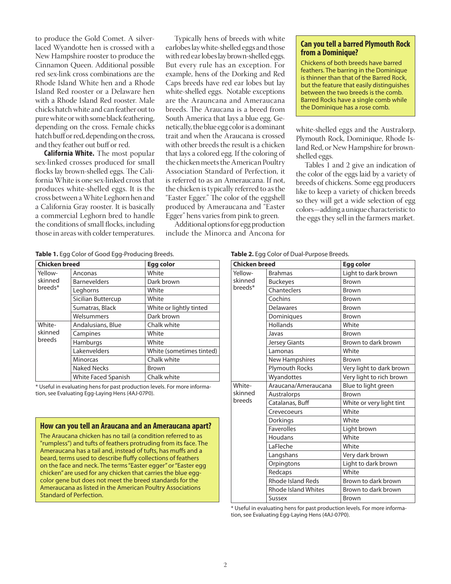to produce the Gold Comet. A silverlaced Wyandotte hen is crossed with a New Hampshire rooster to produce the Cinnamon Queen. Additional possible red sex-link cross combinations are the Rhode Island White hen and a Rhode Island Red rooster or a Delaware hen with a Rhode Island Red rooster. Male chicks hatch white and can feather out to pure white or with some black feathering, depending on the cross. Female chicks hatch buff or red, depending on the cross, and they feather out buff or red.

**California White.** The most popular sex-linked crosses produced for small flocks lay brown-shelled eggs. The California White is one sex-linked cross that produces white-shelled eggs. It is the cross between a White Leghorn hen and a California Gray rooster. It is basically a commercial Leghorn bred to handle the conditions of small flocks, including those in areas with colder temperatures.

Typically hens of breeds with white earlobes lay white-shelled eggs and those with red ear lobes lay brown-shelled eggs. But every rule has an exception. For example, hens of the Dorking and Red Caps breeds have red ear lobes but lay white-shelled eggs. Notable exceptions are the Arauncana and Ameraucana breeds. The Araucana is a breed from South America that lays a blue egg. Genetically, the blue egg color is a dominant trait and when the Araucana is crossed with other breeds the result is a chicken that lays a colored egg. If the coloring of the chicken meets the American Poultry Association Standard of Perfection, it is referred to as an Ameraucana. If not, the chicken is typically referred to as the "Easter Egger." The color of the eggshell produced by Ameraucana and "Easter Egger" hens varies from pink to green.

Additional options for egg production include the Minorca and Ancona for

#### **Can you tell a barred Plymouth Rock from a Dominique?**

Chickens of both breeds have barred feathers. The barring in the Dominique is thinner than that of the Barred Rock, but the feature that easily distinguishes between the two breeds is the comb. Barred Rocks have a single comb while the Dominique has a rose comb.

white-shelled eggs and the Australorp, Plymouth Rock, Dominique, Rhode Island Red, or New Hampshire for brownshelled eggs.

Tables 1 and 2 give an indication of the color of the eggs laid by a variety of breeds of chickens. Some egg producers like to keep a variety of chicken breeds so they will get a wide selection of egg colors—adding a unique characteristic to the eggs they sell in the farmers market.

**Table 1.** Egg Color of Good Egg-Producing Breeds.

| <b>Chicken breed</b>          |                     | Egg color                |
|-------------------------------|---------------------|--------------------------|
| Yellow-<br>skinned<br>breeds* | Anconas             | White                    |
|                               | <b>Barnevelders</b> | Dark brown               |
|                               | Leghorns            | White                    |
|                               | Sicilian Buttercup  | White                    |
|                               | Sumatras, Black     | White or lightly tinted  |
|                               | Welsummers          | Dark brown               |
| White-<br>skinned<br>breeds   | Andalusians, Blue   | Chalk white              |
|                               | Campines            | White                    |
|                               | Hamburgs            | White                    |
|                               | Lakenvelders        | White (sometimes tinted) |
|                               | <b>Minorcas</b>     | Chalk white              |
|                               | <b>Naked Necks</b>  | <b>Brown</b>             |
|                               | White Faced Spanish | Chalk white              |

\* Useful in evaluating hens for past production levels. For more information, see Evaluating Egg-Laying Hens (4AJ-07P0).

#### **How can you tell an Araucana and an Ameraucana apart?**

The Araucana chicken has no tail (a condition referred to as "rumpless") and tufts of feathers protruding from its face. The Ameraucana has a tail and, instead of tufts, has muffs and a beard, terms used to describe fluffy collections of feathers on the face and neck. The terms "Easter egger" or "Easter egg chicken" are used for any chicken that carries the blue eggcolor gene but does not meet the breed standards for the Ameraucana as listed in the American Poultry Associations Standard of Perfection.

| <b>Chicken breed</b>          |                            | <b>Egg color</b>         |
|-------------------------------|----------------------------|--------------------------|
| Yellow-<br>skinned<br>breeds* | <b>Brahmas</b>             | Light to dark brown      |
|                               | <b>Buckeyes</b>            | <b>Brown</b>             |
|                               | Chanteclers                | <b>Brown</b>             |
|                               | Cochins                    | Brown                    |
|                               | <b>Delawares</b>           | <b>Brown</b>             |
|                               | Dominiques                 | <b>Brown</b>             |
|                               | Hollands                   | White                    |
|                               | Javas                      | <b>Brown</b>             |
|                               | <b>Jersey Giants</b>       | Brown to dark brown      |
|                               | Lamonas                    | White                    |
|                               | <b>New Hampshires</b>      | <b>Brown</b>             |
|                               | <b>Plymouth Rocks</b>      | Very light to dark brown |
|                               | Wyandottes                 | Very light to rich brown |
| White-<br>skinned<br>breeds   | Araucana/Ameraucana        | Blue to light green      |
|                               | Australorps                | <b>Brown</b>             |
|                               | Catalanas, Buff            | White or very light tint |
|                               | Crevecoeurs                | White                    |
|                               | Dorkings                   | White                    |
|                               | <b>Faverolles</b>          | Light brown              |
|                               | Houdans                    | White                    |
|                               | LaFleche                   | White                    |
|                               | Langshans                  | Very dark brown          |
|                               | Orpingtons                 | Light to dark brown      |
|                               | Redcaps                    | White                    |
|                               | <b>Rhode Island Reds</b>   | Brown to dark brown      |
|                               | <b>Rhode Island Whites</b> | Brown to dark brown      |
|                               | Sussex                     | <b>Brown</b>             |

\* Useful in evaluating hens for past production levels. For more information, see Evaluating Egg-Laying Hens (4AJ-07P0).